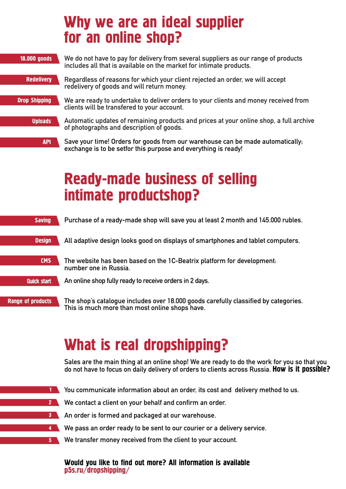|                      | Why we are an ideal supplier<br>for an online shop?                                                                                                       |
|----------------------|-----------------------------------------------------------------------------------------------------------------------------------------------------------|
| 18.000 goods         | We do not have to pay for delivery from several suppliers as our range of products<br>includes all that is available on the market for intimate products. |
| <b>Redelivery</b>    | Regardless of reasons for which your client rejected an order, we will accept<br>redelivery of goods and will return money.                               |
| <b>Drop Shipping</b> | We are ready to undertake to deliver orders to your clients and money received from<br>clients will be transfered to your account.                        |
| <b>Uploads</b>       | Automatic updates of remaining products and prices at your online shop, a full archive<br>of photographs and description of goods.                        |
| <b>API</b>           | Save your time! Orders for goods from our warehouse can be made automatically;<br>exchange is to be setfor this purpose and everything is ready!          |

## Ready-made business of selling intimate productshop?

| <b>Saving</b>            | Purchase of a ready-made shop will save you at least 2 month and 145.000 rubles.                                                      |
|--------------------------|---------------------------------------------------------------------------------------------------------------------------------------|
| <b>Design</b>            | All adaptive design looks good on displays of smartphones and tablet computers.                                                       |
| <b>CMS</b>               | The website has been based on the 1C-Beatrix platform for development.<br>number one in Russia.                                       |
| Quick start              | An online shop fully ready to receive orders in 2 days.                                                                               |
| <b>Range of products</b> | The shop's catalogue includes over 18.000 goods carefully classified by categories.<br>This is much more than most online shops have. |

## What is real dropshipping?

**Sales are the main thing at an online shop! We are ready to do the work for you so that you do not have to focus on daily delivery of orders to clients across Russia.** How is it possible?

- **1** You communicate information about an order, its cost and delivery method to us.
- **2** We contact a client on your behalf and confirm an order.
- **An order is formed and packaged at our warehouse.**
- **4** We pass an order ready to be sent to our courier or a delivery service.
- **We transfer money received from the client to your account.**

## Would you like to find out more? All information is available p5s.ru/dropshipping/